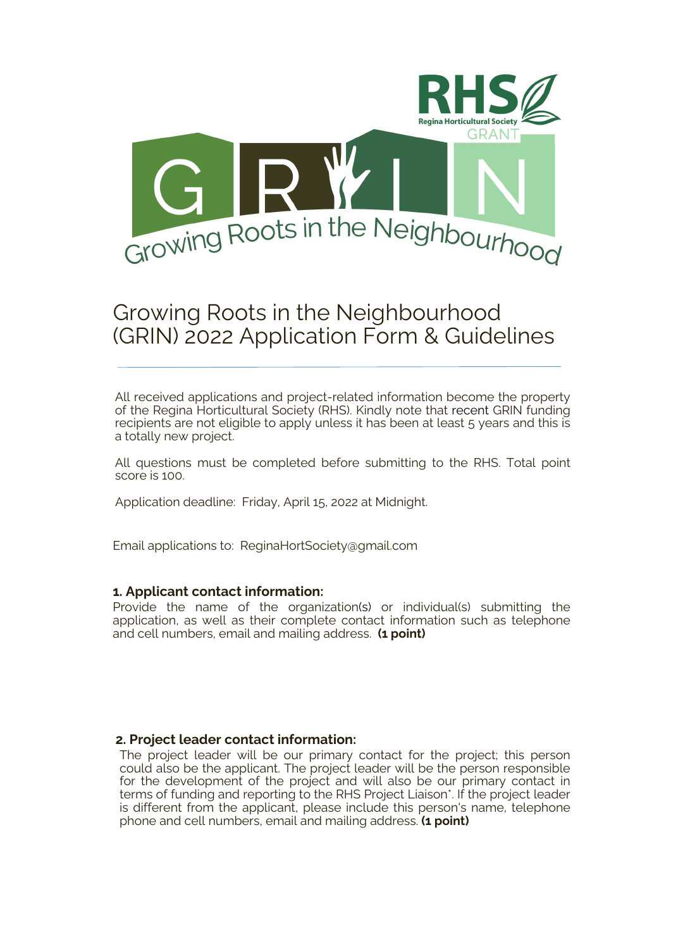

# Growing Roots in the Neighbourhood (GRIN) 2022 Application Form & Guidelines

All received applications and project-related information become the property of the Regina Horticultural Society (RHS). Kindly note that recent GRIN funding recipients are not eligible to apply unless it has been at least 5 years and this is a totally new project.

All questions must be completed before submitting to the RHS. Total point score is 100.

Application deadline: Friday, April 15, 2022 at Midnight.

Email applications to: ReginaHortSociety@gmail.com

### **1. Applicant contact information:**

Provide the name of the organization(s) or individual(s) submitting the application, as well as their complete contact information such as telephone and cell numbers, email and mailing address. **(1 point)**

#### **2. Project leader contact information:**

The project leader will be our primary contact for the project; this person could also be the applicant. The project leader will be the person responsible for the development of the project and will also be our primary contact in terms of funding and reporting to the RHS Project Liaison\*. If the project leader is different from the applicant, please include this person's name, telephone phone and cell numbers, email and mailing address. **(1 point)**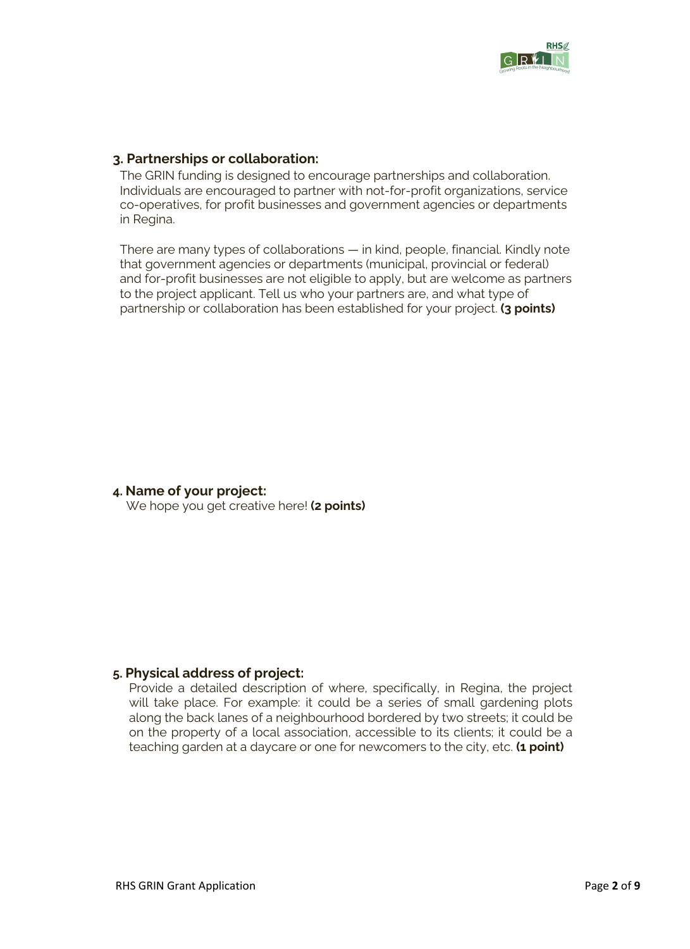

### **3. Partnerships or collaboration:**

The GRIN funding is designed to encourage partnerships and collaboration. Individuals are encouraged to partner with not-for-profit organizations, service co-operatives, for profit businesses and government agencies or departments in Regina.

There are many types of collaborations — in kind, people, financial. Kindly note that government agencies or departments (municipal, provincial or federal) and for-profit businesses are not eligible to apply, but are welcome as partners to the project applicant. Tell us who your partners are, and what type of partnership or collaboration has been established for your project. **(3 points)**

### **4. Name of your project:**

We hope you get creative here! **(2 points)**

### **5. Physical address of project:**

Provide a detailed description of where, specifically, in Regina, the project will take place. For example: it could be a series of small gardening plots along the back lanes of a neighbourhood bordered by two streets; it could be on the property of a local association, accessible to its clients; it could be a teaching garden at a daycare or one for newcomers to the city, etc. **(1 point)**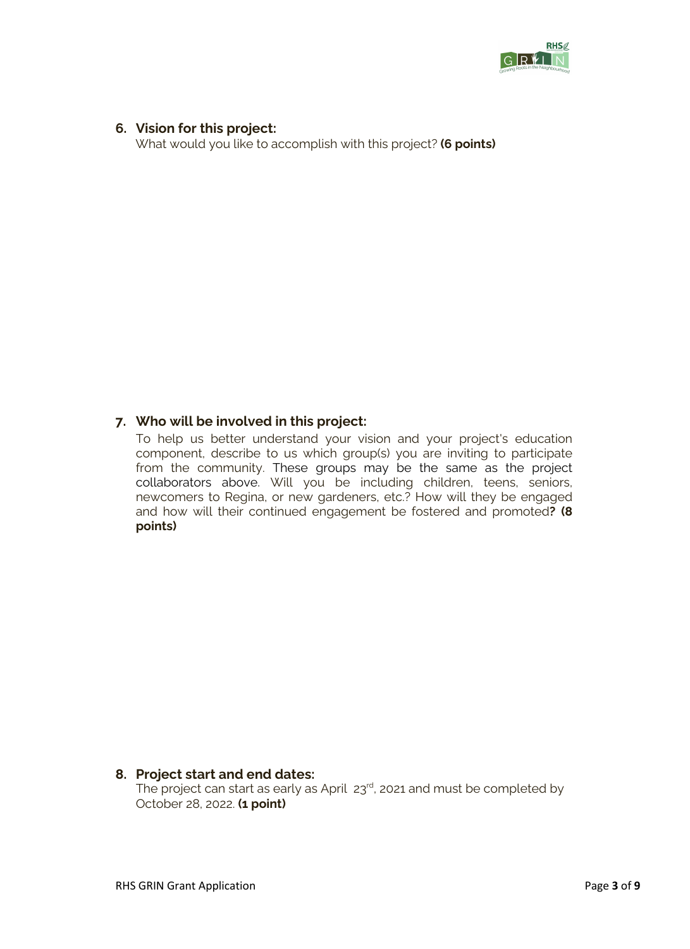

## **6. Vision for this project:**

What would you like to accomplish with this project? **(6 points)**

# **7. Who will be involved in this project:**

To help us better understand your vision and your project's education component, describe to us which group(s) you are inviting to participate from the community. These groups may be the same as the project collaborators above. Will you be including children, teens, seniors, newcomers to Regina, or new gardeners, etc.? How will they be engaged and how will their continued engagement be fostered and promoted**? (8 points)**

## **8. Project start and end dates:**  The project can start as early as April 23<sup>rd</sup>, 2021 and must be completed by October 28, 2022. **(1 point)**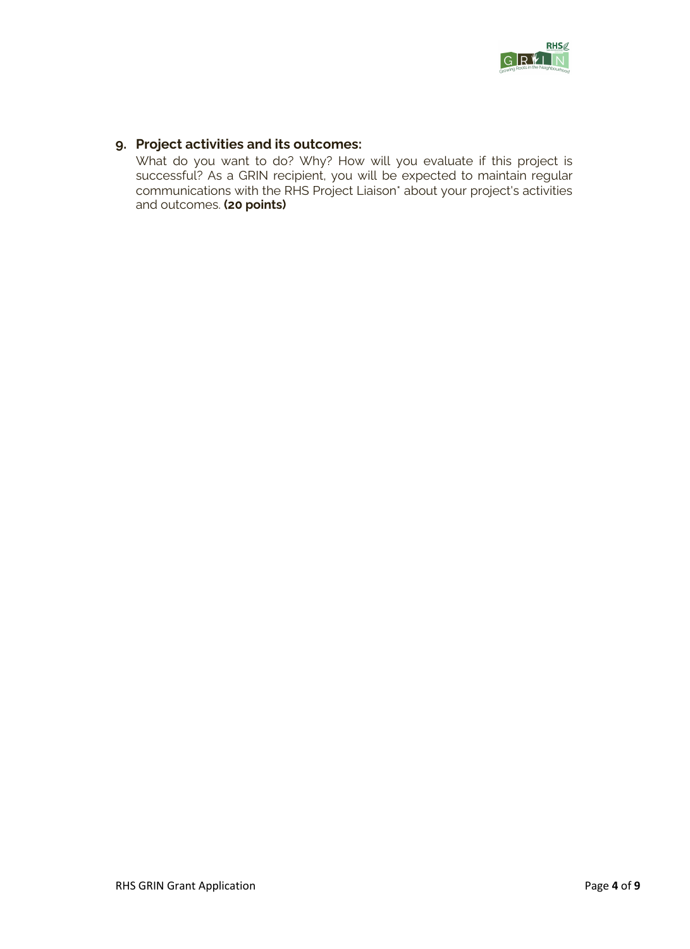

# **9. Project activities and its outcomes:**

What do you want to do? Why? How will you evaluate if this project is successful? As a GRIN recipient, you will be expected to maintain regular communications with the RHS Project Liaison\* about your project's activities and outcomes. **(20 points)**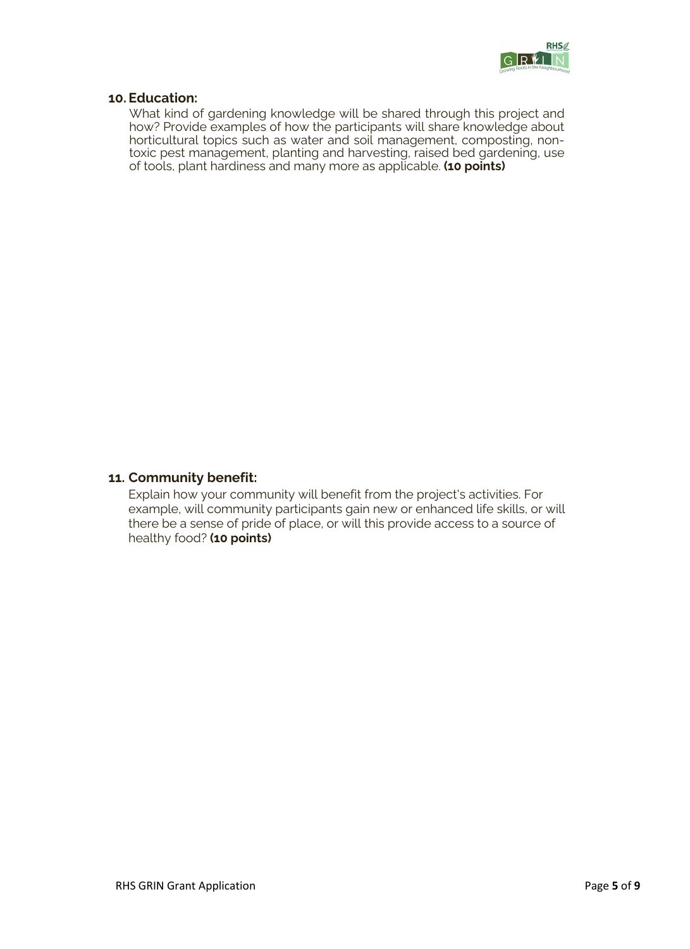

## **10. Education:**

What kind of gardening knowledge will be shared through this project and how? Provide examples of how the participants will share knowledge about horticultural topics such as water and soil management, composting, nontoxic pest management, planting and harvesting, raised bed gardening, use of tools, plant hardiness and many more as applicable. **(10 points)**

### **11. Community benefit:**

Explain how your community will benefit from the project's activities. For example, will community participants gain new or enhanced life skills, or will there be a sense of pride of place, or will this provide access to a source of healthy food? **(10 points)**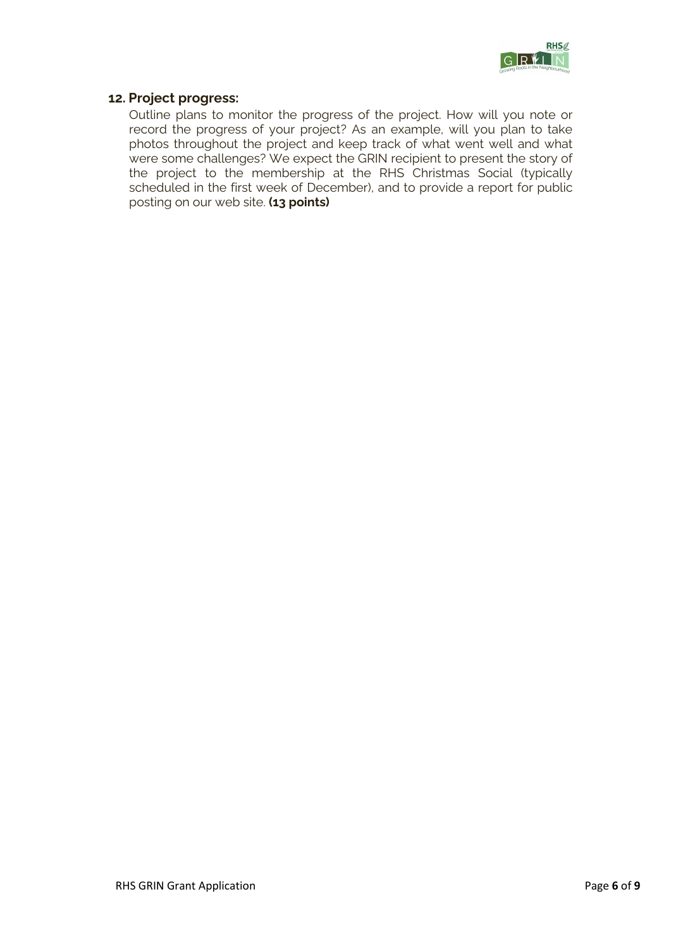

## **12. Project progress:**

Outline plans to monitor the progress of the project. How will you note or record the progress of your project? As an example, will you plan to take photos throughout the project and keep track of what went well and what were some challenges? We expect the GRIN recipient to present the story of the project to the membership at the RHS Christmas Social (typically scheduled in the first week of December), and to provide a report for public posting on our web site. **(13 points)**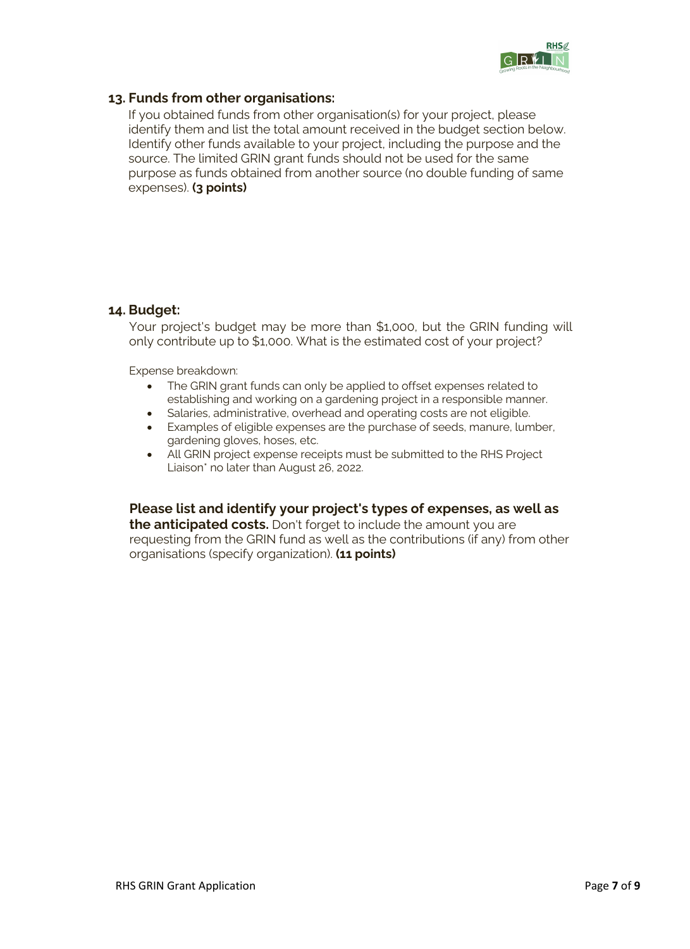

## **13. Funds from other organisations:**

If you obtained funds from other organisation(s) for your project, please identify them and list the total amount received in the budget section below. Identify other funds available to your project, including the purpose and the source. The limited GRIN grant funds should not be used for the same purpose as funds obtained from another source (no double funding of same expenses). **(3 points)**

### **14. Budget:**

Your project's budget may be more than \$1,000, but the GRIN funding will only contribute up to \$1,000. What is the estimated cost of your project?

Expense breakdown:

- The GRIN grant funds can only be applied to offset expenses related to establishing and working on a gardening project in a responsible manner.
- Salaries, administrative, overhead and operating costs are not eligible.
- Examples of eligible expenses are the purchase of seeds, manure, lumber, gardening gloves, hoses, etc.
- All GRIN project expense receipts must be submitted to the RHS Project Liaison\* no later than August 26, 2022.

## **Please list and identify your project's types of expenses, as well as**

**the anticipated costs.** Don't forget to include the amount you are requesting from the GRIN fund as well as the contributions (if any) from other organisations (specify organization). **(11 points)**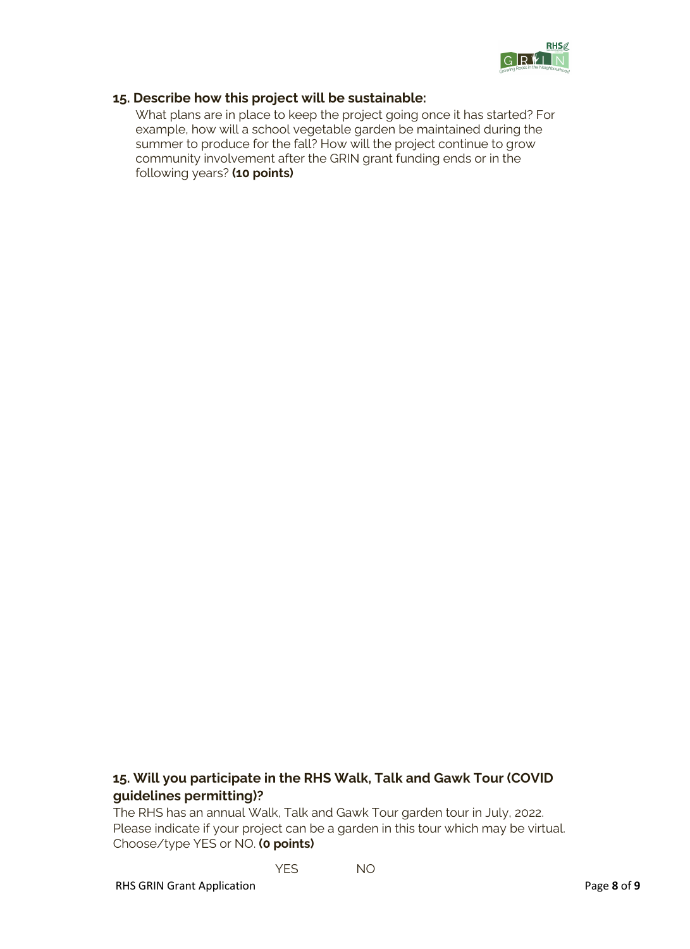

## **15. Describe how this project will be sustainable:**

What plans are in place to keep the project going once it has started? For example, how will a school vegetable garden be maintained during the summer to produce for the fall? How will the project continue to grow community involvement after the GRIN grant funding ends or in the following years? **(10 points)**

# **15. Will you participate in the RHS Walk, Talk and Gawk Tour (COVID guidelines permitting)?**

The RHS has an annual Walk, Talk and Gawk Tour garden tour in July, 2022. Please indicate if your project can be a garden in this tour which may be virtual. Choose/type YES or NO. **(0 points)**